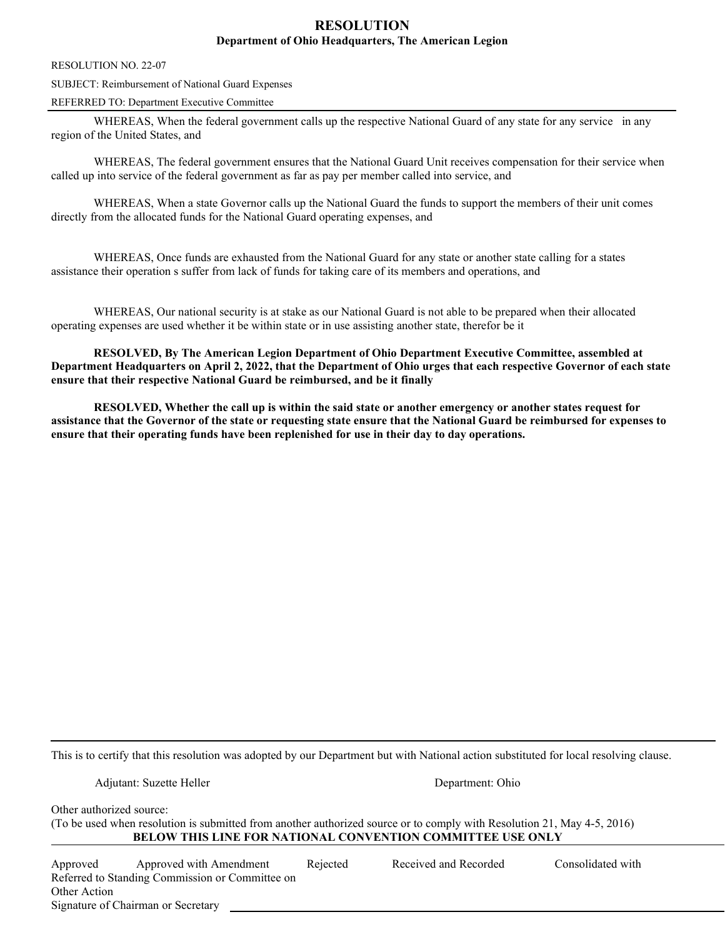## **RESOLUTION Department of Ohio Headquarters, The American Legion**

RESOLUTION NO. 22-07

SUBJECT: Reimbursement of National Guard Expenses

REFERRED TO: Department Executive Committee

WHEREAS, When the federal government calls up the respective National Guard of any state for any service in any region of the United States, and

WHEREAS, The federal government ensures that the National Guard Unit receives compensation for their service when called up into service of the federal government as far as pay per member called into service, and

WHEREAS, When a state Governor calls up the National Guard the funds to support the members of their unit comes directly from the allocated funds for the National Guard operating expenses, and

WHEREAS, Once funds are exhausted from the National Guard for any state or another state calling for a states assistance their operation s suffer from lack of funds for taking care of its members and operations, and

WHEREAS, Our national security is at stake as our National Guard is not able to be prepared when their allocated operating expenses are used whether it be within state or in use assisting another state, therefor be it

**RESOLVED, By The American Legion Department of Ohio Department Executive Committee, assembled at Department Headquarters on April 2, 2022, that the Department of Ohio urges that each respective Governor of each state ensure that their respective National Guard be reimbursed, and be it finally**

**RESOLVED, Whether the call up is within the said state or another emergency or another states request for assistance that the Governor of the state or requesting state ensure that the National Guard be reimbursed for expenses to ensure that their operating funds have been replenished for use in their day to day operations.** 

This is to certify that this resolution was adopted by our Department but with National action substituted for local resolving clause.

Adjutant: Suzette Heller **Department:** Ohio

Other authorized source:

(To be used when resolution is submitted from another authorized source or to comply with Resolution 21, May 4-5, 2016) **BELOW THIS LINE FOR NATIONAL CONVENTION COMMITTEE USE ONLY**

| Approved                                        | Approved with Amendment | Rejected | Received and Recorded | Consolidated with |
|-------------------------------------------------|-------------------------|----------|-----------------------|-------------------|
| Referred to Standing Commission or Committee on |                         |          |                       |                   |
| Other Action                                    |                         |          |                       |                   |
| Signature of Chairman or Secretary              |                         |          |                       |                   |
|                                                 |                         |          |                       |                   |